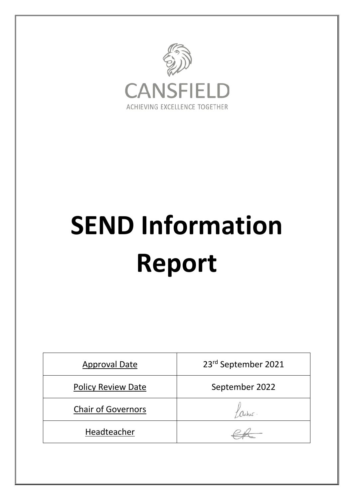

# **SEND Information Report**

| <b>Approval Date</b>      | 23rd September 2021 |
|---------------------------|---------------------|
| <b>Policy Review Date</b> | September 2022      |
| <b>Chair of Governors</b> |                     |
| Headteacher               |                     |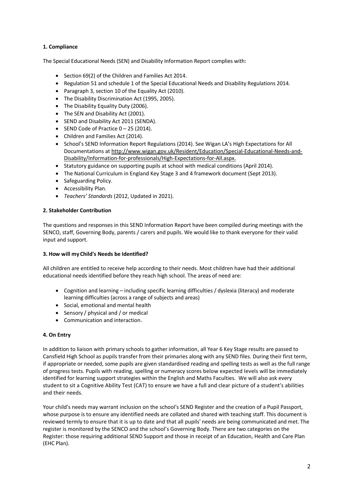# **1. Compliance**

The Special Educational Needs (SEN) and Disability Information Report complies with:

- Section 69(2) of the Children and Families Act 2014.
- Regulation 51 and schedule 1 of the Special Educational Needs and Disability Regulations 2014.
- Paragraph 3, section 10 of the Equality Act (2010).
- The Disability Discrimination Act (1995, 2005).
- The Disability Equality Duty (2006).
- The SEN and Disability Act (2001).
- SEND and Disability Act 2011 (SENDA).
- SEND Code of Practice 0 25 (2014).
- Children and Families Act (2014).
- School's SEND Information Report Regulations (2014). See Wigan LA's High Expectations for All Documentations at http://www.wigan.gov.uk/Resident/Education/Special-Educational-Needs-and-Disability/Information-for-professionals/High-Expectations-for-All.aspx.
- Statutory guidance on supporting pupils at school with medical conditions (April 2014).
- The National Curriculum in England Key Stage 3 and 4 framework document (Sept 2013).
- Safeguarding Policy.
- Accessibility Plan.
- *Teachers' Standards* (2012, Updated in 2021).

#### **2. Stakeholder Contribution**

The questions and responses in this SEND Information Report have been compiled during meetings with the SENCO, staff, Governing Body, parents / carers and pupils. We would like to thank everyone for their valid input and support.

#### **3. How will myChild's Needs be Identified?**

All children are entitled to receive help according to their needs. Most children have had their additional educational needs identified before they reach high school. The areas of need are:

- Cognition and learning including specific learning difficulties / dyslexia (literacy) and moderate learning difficulties (across a range of subjects and areas)
- Social, emotional and mental health
- Sensory / physical and / or medical
- Communication and interaction.

#### **4. On Entry**

In addition to liaison with primary schools to gather information, all Year 6 Key Stage results are passed to Cansfield High School as pupils transfer from their primaries along with any SEND files. During their first term, if appropriate or needed, some pupils are given standardised reading and spelling tests as well as the full range of progress tests. Pupils with reading, spelling or numeracy scores below expected levels will be immediately identified for learning support strategies within the English and Maths Faculties. We will also ask every student to sit a Cognitive Ability Test (CAT) to ensure we have a full and clear picture of a student's abilities and their needs.

Your child's needs may warrant inclusion on the school's SEND Register and the creation of a Pupil Passport, whose purpose is to ensure any identified needs are collated and shared with teaching staff. This document is reviewed termly to ensure that it is up to date and that all pupils' needs are being communicated and met. The register is monitored by the SENCO and the school's Governing Body. There are two categories on the Register: those requiring additional SEND Support and those in receipt of an Education, Health and Care Plan (EHC Plan).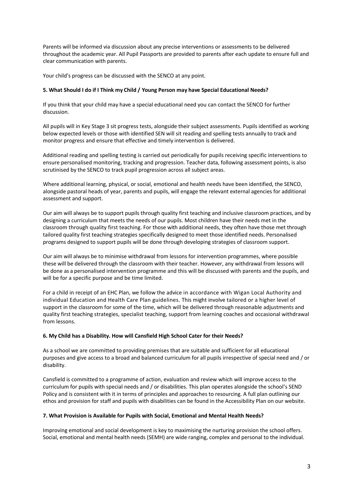Parents will be informed via discussion about any precise interventions or assessments to be delivered throughout the academic year. All Pupil Passports are provided to parents after each update to ensure full and clear communication with parents.

Your child's progress can be discussed with the SENCO at any point.

#### **5. What Should I do if I Think my Child / Young Person may have Special Educational Needs?**

If you think that your child may have a special educational need you can contact the SENCO for further discussion.

All pupils will in Key Stage 3 sit progress tests, alongside their subject assessments. Pupils identified as working below expected levels or those with identified SEN will sit reading and spelling tests annually to track and monitor progress and ensure that effective and timely intervention is delivered.

Additional reading and spelling testing is carried out periodically for pupils receiving specific interventions to ensure personalised monitoring, tracking and progression. Teacher data, following assessment points, is also scrutinised by the SENCO to track pupil progression across all subject areas.

Where additional learning, physical, or social, emotional and health needs have been identified, the SENCO, alongside pastoral heads of year, parents and pupils, will engage the relevant external agencies for additional assessment and support.

Our aim will always be to support pupils through quality first teaching and inclusive classroom practices, and by designing a curriculum that meets the needs of our pupils. Most children have their needs met in the classroom through quality first teaching. For those with additional needs, they often have those met through tailored quality first teaching strategies specifically designed to meet those identified needs. Personalised programs designed to support pupils will be done through developing strategies of classroom support.

Our aim will always be to minimise withdrawal from lessons for intervention programmes, where possible these will be delivered through the classroom with their teacher. However, any withdrawal from lessons will be done as a personalised intervention programme and this will be discussed with parents and the pupils, and will be for a specific purpose and be time limited.

For a child in receipt of an EHC Plan, we follow the advice in accordance with Wigan Local Authority and individual Education and Health Care Plan guidelines. This might involve tailored or a higher level of support in the classroom for some of the time, which will be delivered through reasonable adjustments and quality first teaching strategies, specialist teaching, support from learning coaches and occasional withdrawal from lessons.

#### **6. My Child has a Disability. How will Cansfield High School Cater for their Needs?**

As a school we are committed to providing premises that are suitable and sufficient for all educational purposes and give access to a broad and balanced curriculum for all pupils irrespective of special need and / or disability.

Cansfield is committed to a programme of action, evaluation and review which will improve access to the curriculum for pupils with special needs and / or disabilities. This plan operates alongside the school's SEND Policy and is consistent with it in terms of principles and approaches to resourcing. A full plan outlining our ethos and provision for staff and pupils with disabilities can be found in the Accessibility Plan on our website.

# **7. What Provision is Available for Pupils with Social, Emotional and Mental Health Needs?**

Improving emotional and social development is key to maximising the nurturing provision the school offers. Social, emotional and mental health needs (SEMH) are wide ranging, complex and personal to the individual.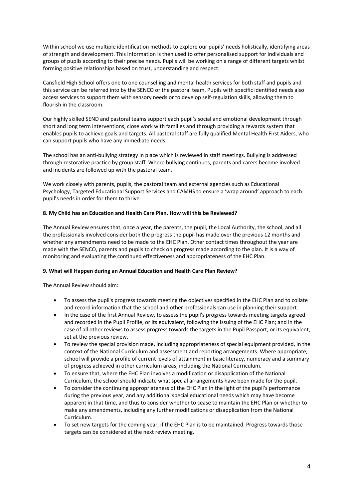Within school we use multiple identification methods to explore our pupils' needs holistically, identifying areas of strength and development. This information is then used to offer personalised support for individuals and groups of pupils according to their precise needs. Pupils will be working on a range of different targets whilst forming positive relationships based on trust, understanding and respect.

Cansfield High School offers one to one counselling and mental health services for both staff and pupils and this service can be referred into by the SENCO or the pastoral team. Pupils with specific identified needs also access services to support them with sensory needs or to develop self-regulation skills, allowing them to flourish in the classroom.

Our highly skilled SEND and pastoral teams support each pupil's social and emotional development through short and long term interventions, close work with families and through providing a rewards system that enables pupils to achieve goals and targets. All pastoral staff are fully qualified Mental Health First Aiders, who can support pupils who have any immediate needs.

The school has an anti-bullying strategy in place which is reviewed in staff meetings. Bullying is addressed through restorative practice by group staff. Where bullying continues, parents and carers become involved and incidents are followed up with the pastoral team.

We work closely with parents, pupils, the pastoral team and external agencies such as Educational Psychology, Targeted Educational Support Services and CAMHS to ensure a 'wrap around' approach to each pupil's needs in order for them to thrive.

## **8. My Child has an Education and Health Care Plan. How will this be Reviewed?**

The Annual Review ensures that, once a year, the parents, the pupil, the Local Authority, the school, and all the professionals involved consider both the progress the pupil has made over the previous 12 months and whether any amendments need to be made to the EHC Plan. Other contact times throughout the year are made with the SENCO, parents and pupils to check on progress made according to the plan. It is a way of monitoring and evaluating the continued effectiveness and appropriateness of the EHC Plan.

#### **9. What will Happen during an Annual Education and Health Care Plan Review?**

The Annual Review should aim:

- To assess the pupil's progress towards meeting the objectives specified in the EHC Plan and to collate and record information that the school and other professionals can use in planning their support.
- In the case of the first Annual Review, to assess the pupil's progress towards meeting targets agreed and recorded in the Pupil Profile, or its equivalent, following the issuing of the EHC Plan; and in the case of all other reviews to assess progress towards the targets in the Pupil Passport, or its equivalent, set at the previous review.
- To review the special provision made, including appropriateness of special equipment provided, in the context of the National Curriculum and assessment and reporting arrangements. Where appropriate, school will provide a profile of current levels of attainment in basic literacy, numeracy and a summary of progress achieved in other curriculum areas, including the National Curriculum.
- To ensure that, where the EHC Plan involves a modification or disapplication of the National Curriculum, the school should indicate what special arrangements have been made for the pupil.
- To consider the continuing appropriateness of the EHC Plan in the light of the pupil's performance during the previous year, and any additional special educational needs which may have become apparent in that time, and thus to consider whether to cease to maintain the EHC Plan or whether to make any amendments, including any further modifications or disapplication from the National Curriculum.
- To set new targets for the coming year, if the EHC Plan is to be maintained. Progress towards those targets can be considered at the next review meeting.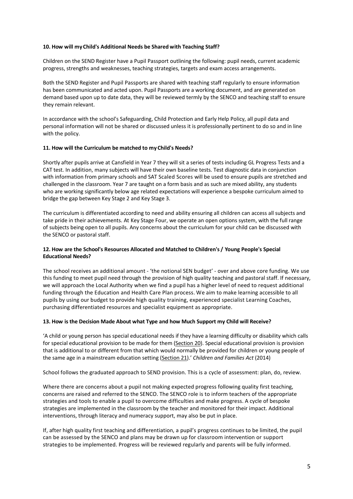#### **10. How will myChild's Additional Needs be Shared with Teaching Staff?**

Children on the SEND Register have a Pupil Passport outlining the following: pupil needs, current academic progress, strengths and weaknesses, teaching strategies, targets and exam access arrangements.

Both the SEND Register and Pupil Passports are shared with teaching staff regularly to ensure information has been communicated and acted upon. Pupil Passports are a working document, and are generated on demand based upon up to date data, they will be reviewed termly by the SENCO and teaching staff to ensure they remain relevant.

In accordance with the school's Safeguarding, Child Protection and Early Help Policy, all pupil data and personal information will not be shared or discussed unless it is professionally pertinent to do so and in line with the policy.

#### **11. How will the Curriculum be matched to myChild's Needs?**

Shortly after pupils arrive at Cansfield in Year 7 they will sit a series of tests including GL Progress Tests and a CAT test. In addition, many subjects will have their own baseline tests. Test diagnostic data in conjunction with information from primary schools and SAT Scaled Scores will be used to ensure pupils are stretched and challenged in the classroom. Year 7 are taught on a form basis and as such are mixed ability, any students who are working significantly below age related expectations will experience a bespoke curriculum aimed to bridge the gap between Key Stage 2 and Key Stage 3.

The curriculum is differentiated according to need and ability ensuring all children can access all subjects and take pride in their achievements. At Key Stage Four, we operate an open options system, with the full range of subjects being open to all pupils. Any concerns about the curriculum for your child can be discussed with the SENCO or pastoral staff.

# **12. How are the School's Resources Allocated and Matched to Children's / Young People's Special Educational Needs?**

The school receives an additional amount - 'the notional SEN budget' - over and above core funding. We use this funding to meet pupil need through the provision of high quality teaching and pastoral staff. If necessary, we will approach the Local Authority when we find a pupil has a higher level of need to request additional funding through the Education and Health Care Plan process. We aim to make learning accessible to all pupils by using our budget to provide high quality training, experienced specialist Learning Coaches, purchasing differentiated resources and specialist equipment as appropriate.

#### **13. How is the Decision Made About what Type and how Much Support my Child will Receive?**

'A child or young person has special educational needs if they have a learning difficulty or disability which calls for special educational provision to be made for them (Section 20). Special educational provision is provision that is additional to or different from that which would normally be provided for children or young people of the same age in a mainstream education setting (Section 21).' *Children and Families Act* (2014)

School follows the graduated approach to SEND provision. This is a cycle of assessment: plan, do, review.

Where there are concerns about a pupil not making expected progress following quality first teaching, concerns are raised and referred to the SENCO. The SENCO role is to inform teachers of the appropriate strategies and tools to enable a pupil to overcome difficulties and make progress. A cycle of bespoke strategies are implemented in the classroom by the teacher and monitored for their impact. Additional interventions, through literacy and numeracy support, may also be put in place.

If, after high quality first teaching and differentiation, a pupil's progress continues to be limited, the pupil can be assessed by the SENCO and plans may be drawn up for classroom intervention or support strategies to be implemented. Progress will be reviewed regularly and parents will be fully informed.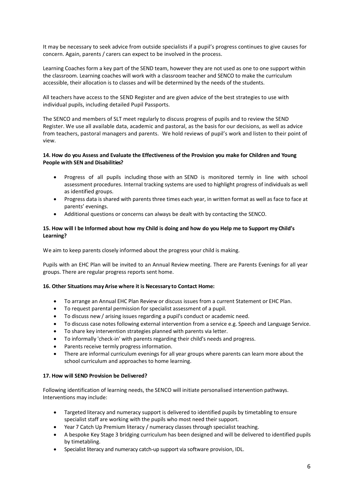It may be necessary to seek advice from outside specialists if a pupil's progress continues to give causes for concern. Again, parents / carers can expect to be involved in the process.

Learning Coaches form a key part of the SEND team, however they are not used as one to one support within the classroom. Learning coaches will work with a classroom teacher and SENCO to make the curriculum accessible, their allocation is to classes and will be determined by the needs of the students.

All teachers have access to the SEND Register and are given advice of the best strategies to use with individual pupils, including detailed Pupil Passports.

The SENCO and members of SLT meet regularly to discuss progress of pupils and to review the SEND Register. We use all available data, academic and pastoral, as the basis for our decisions, as well as advice from teachers, pastoral managers and parents. We hold reviews of pupil's work and listen to their point of view.

## **14. How do you Assess and Evaluate the Effectiveness of the Provision you make for Children and Young People with SEN and Disabilities?**

- Progress of all pupils including those with an SEND is monitored termly in line with school assessment procedures. Internal tracking systems are used to highlight progress of individuals as well as identified groups.
- Progress data is shared with parents three times each year, in written format as well as face to face at parents' evenings.
- Additional questions or concerns can always be dealt with by contacting the SENCO.

## **15. How will I be Informed about how my Child is doing and how do you Help me to Support my Child's Learning?**

We aim to keep parents closely informed about the progress your child is making.

Pupils with an EHC Plan will be invited to an Annual Review meeting. There are Parents Evenings for all year groups. There are regular progress reports sent home.

# **16. Other Situations mayArise where it is Necessary to Contact Home:**

- To arrange an Annual EHC Plan Review or discuss issues from a current Statement or EHC Plan.
- To request parental permission for specialist assessment of a pupil.
- To discuss new / arising issues regarding a pupil's conduct or academic need.
- To discuss case notes following external intervention from a service e.g. Speech and Language Service.
- To share key intervention strategies planned with parents via letter.
- To informally 'check-in' with parents regarding their child's needs and progress.
- Parents receive termly progress information.
- There are informal curriculum evenings for all year groups where parents can learn more about the school curriculum and approaches to home learning.

#### **17. How will SEND Provision be Delivered?**

Following identification of learning needs, the SENCO will initiate personalised intervention pathways. Interventions may include:

- Targeted literacy and numeracy support is delivered to identified pupils by timetabling to ensure specialist staff are working with the pupils who most need their support.
- Year 7 Catch Up Premium literacy / numeracy classes through specialist teaching.
- A bespoke Key Stage 3 bridging curriculum has been designed and will be delivered to identified pupils by timetabling.
- Specialist literacy and numeracy catch-up support via software provision, IDL.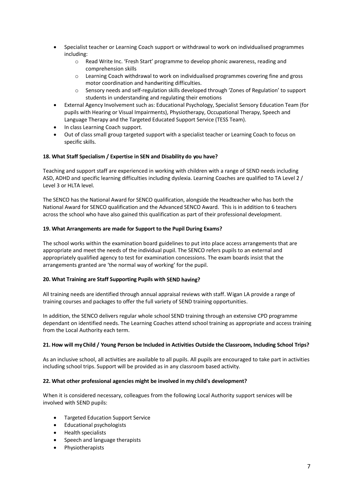- Specialist teacher or Learning Coach support or withdrawal to work on individualised programmes including:
	- o Read Write Inc. 'Fresh Start' programme to develop phonic awareness, reading and comprehension skills
	- $\circ$  Learning Coach withdrawal to work on individualised programmes covering fine and gross motor coordination and handwriting difficulties.
	- o Sensory needs and self-regulation skills developed through 'Zones of Regulation' to support students in understanding and regulating their emotions
- External Agency Involvement such as: Educational Psychology, Specialist Sensory Education Team (for pupils with Hearing or Visual Impairments), Physiotherapy, Occupational Therapy, Speech and Language Therapy and the Targeted Educated Support Service (TESS Team).
- In class Learning Coach support.
- Out of class small group targeted support with a specialist teacher or Learning Coach to focus on specific skills.

## **18. What Staff Specialism / Expertise in SEN and Disability do you have?**

Teaching and support staff are experienced in working with children with a range of SEND needs including ASD, ADHD and specific learning difficulties including dyslexia. Learning Coaches are qualified to TA Level 2 / Level 3 or HLTA level.

The SENCO has the National Award for SENCO qualification, alongside the Headteacher who has both the National Award for SENCO qualification and the Advanced SENCO Award. This is in addition to 6 teachers across the school who have also gained this qualification as part of their professional development.

## **19. What Arrangements are made for Support to the Pupil During Exams?**

The school works within the examination board guidelines to put into place access arrangements that are appropriate and meet the needs of the individual pupil. The SENCO refers pupils to an external and appropriately qualified agency to test for examination concessions. The exam boards insist that the arrangements granted are 'the normal way of working' for the pupil.

#### **20. What Training are Staff Supporting Pupils with SEND having?**

All training needs are identified through annual appraisal reviews with staff. Wigan LA provide a range of training courses and packages to offer the full variety of SEND training opportunities.

In addition, the SENCO delivers regular whole school SEND training through an extensive CPD programme dependant on identified needs. The Learning Coaches attend school training as appropriate and access training from the Local Authority each term.

#### **21. How will myChild / Young Person be Included in Activities Outside the Classroom, Including School Trips?**

As an inclusive school, all activities are available to all pupils. All pupils are encouraged to take part in activities including school trips. Support will be provided as in any classroom based activity.

#### **22. What other professional agencies might be involved in my child's development?**

When it is considered necessary, colleagues from the following Local Authority support services will be involved with SEND pupils:

- Targeted Education Support Service
- Educational psychologists
- Health specialists
- Speech and language therapists
- Physiotherapists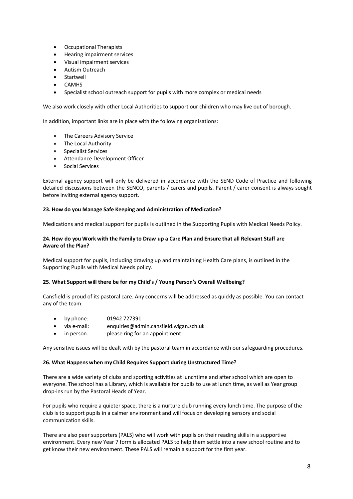- Occupational Therapists
- Hearing impairment services
- Visual impairment services
- Autism Outreach
- **Startwell**
- **CAMHS**
- Specialist school outreach support for pupils with more complex or medical needs

We also work closely with other Local Authorities to support our children who may live out of borough.

In addition, important links are in place with the following organisations:

- The Careers Advisory Service
- The Local Authority
- Specialist Services
- Attendance Development Officer
- Social Services

External agency support will only be delivered in accordance with the SEND Code of Practice and following detailed discussions between the SENCO, parents / carers and pupils. Parent / carer consent is always sought before inviting external agency support.

## **23. How do you Manage Safe Keeping and Administration of Medication?**

Medications and medical support for pupils is outlined in the Supporting Pupils with Medical Needs Policy.

## **24. How do you Work with the Family to Draw up a Care Plan and Ensure that all Relevant Staff are Aware of the Plan?**

Medical support for pupils, including drawing up and maintaining Health Care plans, is outlined in the Supporting Pupils with Medical Needs policy.

# **25. What Support will there be for my Child's / Young Person's Overall Wellbeing?**

Cansfield is proud of its pastoral care. Any concerns will be addressed as quickly as possible. You can contact any of the team:

- by phone: 01942 727391
- via e-mail: enquiries@admin.cansfield.wigan.sch.uk
- in person: please ring for an appointment

Any sensitive issues will be dealt with by the pastoral team in accordance with our safeguarding procedures.

# **26. What Happens when my Child Requires Support during Unstructured Time?**

There are a wide variety of clubs and sporting activities at lunchtime and after school which are open to everyone. The school has a Library, which is available for pupils to use at lunch time, as well as Year group drop-ins run by the Pastoral Heads of Year.

For pupils who require a quieter space, there is a nurture club running every lunch time. The purpose of the club is to support pupils in a calmer environment and will focus on developing sensory and social communication skills.

There are also peer supporters (PALS) who will work with pupils on their reading skills in a supportive environment. Every new Year 7 form is allocated PALS to help them settle into a new school routine and to get know their new environment. These PALS will remain a support for the first year.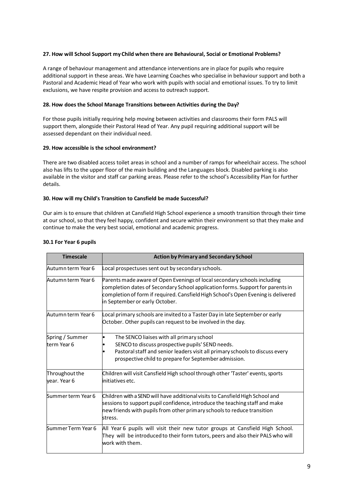#### **27. How will School Support my Child when there are Behavioural, Social or Emotional Problems?**

A range of behaviour management and attendance interventions are in place for pupils who require additional support in these areas. We have Learning Coaches who specialise in behaviour support and both a Pastoral and Academic Head of Year who work with pupils with social and emotional issues. To try to limit exclusions, we have respite provision and access to outreach support.

## **28. How does the School Manage Transitions between Activities during the Day?**

For those pupils initially requiring help moving between activities and classrooms their form PALS will support them, alongside their Pastoral Head of Year. Any pupil requiring additional support will be assessed dependant on their individual need.

## **29. How accessible is the school environment?**

There are two disabled access toilet areas in school and a number of ramps for wheelchair access. The school also has lifts to the upper floor of the main building and the Languages block. Disabled parking is also available in the visitor and staff car parking areas. Please refer to the school's Accessibility Plan for further details.

## **30. How will my Child's Transition to Cansfield be made Successful?**

Our aim is to ensure that children at Cansfield High School experience a smooth transition through their time at our school, so that they feel happy, confident and secure within their environment so that they make and continue to make the very best social, emotional and academic progress.

| <b>Timescale</b>               | <b>Action by Primary and Secondary School</b>                                                                                                                                                                                                                                     |
|--------------------------------|-----------------------------------------------------------------------------------------------------------------------------------------------------------------------------------------------------------------------------------------------------------------------------------|
| Autumn term Year 6             | Local prospectuses sent out by secondary schools.                                                                                                                                                                                                                                 |
| Autumn term Year 6             | Parents made aware of Open Evenings of local secondary schools including<br>completion dates of Secondary School application forms. Support for parents in<br>completion of form if required. Cansfield High School's Open Evening is delivered<br>in September or early October. |
| Autumn term Year 6             | Local primary schools are invited to a Taster Day in late September or early<br>October. Other pupils can request to be involved in the day.                                                                                                                                      |
| Spring / Summer<br>term Year 6 | The SENCO liaises with all primary school<br>SENCO to discuss prospective pupils' SEND needs.<br>Pastoral staff and senior leaders visit all primary schools to discuss every<br>prospective child to prepare for September admission.                                            |
| Throughout the<br>vear. Year 6 | Children will visit Cansfield High school through other 'Taster' events, sports<br>initiatives etc.                                                                                                                                                                               |
| Summer term Year 6             | Children with a SEND will have additional visits to Cansfield High School and<br>sessions to support pupil confidence, introduce the teaching staff and make<br>new friends with pupils from other primary schools to reduce transition<br>stress.                                |
| Summer Term Year 6             | All Year 6 pupils will visit their new tutor groups at Cansfield High School.<br>They will be introduced to their form tutors, peers and also their PALS who will<br>work with them.                                                                                              |

## **30.1 For Year 6 pupils**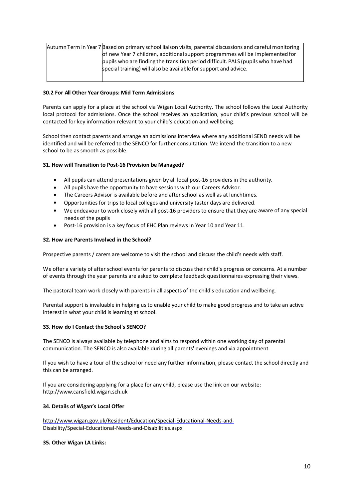| Autumn Term in Year 7 Based on primary school liaison visits, parental discussions and careful monitoring |
|-----------------------------------------------------------------------------------------------------------|
| of new Year 7 children, additional support programmes will be implemented for                             |
| pupils who are finding the transition period difficult. PALS (pupils who have had                         |
| special training) will also be available for support and advice.                                          |
|                                                                                                           |

## **30.2 For All Other Year Groups: Mid Term Admissions**

Parents can apply for a place at the school via Wigan Local Authority. The school follows the Local Authority local protocol for admissions. Once the school receives an application, your child's previous school will be contacted for key information relevant to your child's education and wellbeing.

School then contact parents and arrange an admissions interview where any additional SEND needs will be identified and will be referred to the SENCO for further consultation. We intend the transition to a new school to be as smooth as possible.

#### **31. How will Transition to Post-16 Provision be Managed?**

- All pupils can attend presentations given by all local post-16 providers in the authority.
- All pupils have the opportunity to have sessions with our Careers Advisor.
- The Careers Advisor is available before and after school as well as at lunchtimes.
- Opportunities for trips to local colleges and university taster days are delivered.
- We endeavour to work closely with all post-16 providers to ensure that they are aware of any special needs of the pupils
- Post-16 provision is a key focus of EHC Plan reviews in Year 10 and Year 11.

#### **32. How are Parents Involved in the School?**

Prospective parents / carers are welcome to visit the school and discuss the child's needs with staff.

We offer a variety of after school events for parents to discuss their child's progress or concerns. At a number of events through the year parents are asked to complete feedback questionnaires expressing their views.

The pastoral team work closely with parents in all aspects of the child's education and wellbeing.

Parental support is invaluable in helping us to enable your child to make good progress and to take an active interest in what your child is learning at school.

#### **33. How do I Contact the School's SENCO?**

The SENCO is always available by telephone and aims to respond within one working day of parental communication. The SENCO is also available during all parents' evenings and via appointment.

If you wish to have a tour of the school or need any further information, please contact the school directly and this can be arranged.

If you are considering applying for a place for any child, please use the link on our website: http://www.cansfield.wigan.sch.uk

#### **34. Details of Wigan's Local Offer**

http://www.wigan.gov.uk/Resident/Education/Special-Educational-Needs-and-Disability/Special-Educational-Needs-and-Disabilities.aspx

#### **35. Other Wigan LA Links:**